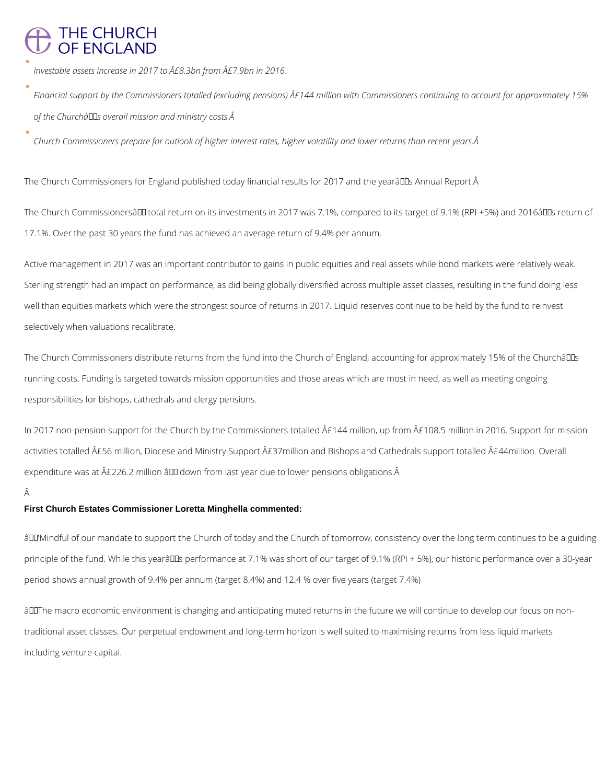# THE CHURCH<br>OF ENGLAND

*Investable assets increase in 2017 to £8.3bn from £7.9bn in 2016.*

*Financial support by the Commissioners totalled (excluding pensions) £144 million with Commissioners continuing to account for approximately 15%*  of the Churchâlls overall mission and ministry costs. A

*Church Commissioners prepare for outlook of higher interest rates, higher volatility and lower returns than recent years.* 

The Church Commissioners for England published today financial results for 2017 and the yearâll Dis Annual Report. Â

The Church Commissionersâ LD total return on its investments in 2017 was 7.1%, compared to its target of 9.1% (RPI +5%) and 2016â LDs return of 17.1%. Over the past 30 years the fund has achieved an average return of 9.4% per annum.

The Church Commissioners distribute returns from the fund into the Church of England, accounting for approximately 15% of the Churchâlles running costs. Funding is targeted towards mission opportunities and those areas which are most in need, as well as meeting ongoing responsibilities for bishops, cathedrals and clergy pensions.

In 2017 non-pension support for the Church by the Commissioners totalled  $\hat{A}E144$  million, up from  $\hat{A}E108.5$  million in 2016. Support for mission activities totalled £56 million, Diocese and Ministry Support £37million and Bishops and Cathedrals support totalled £44million. Overall expenditure was at  $\hat{A}E226.2$  million  $\hat{a}$  DD down from last year due to lower pensions obligations.  $\hat{A}$ 

Â

Active management in 2017 was an important contributor to gains in public equities and real assets while bond markets were relatively weak. Sterling strength had an impact on performance, as did being globally diversified across multiple asset classes, resulting in the fund doing less well than equities markets which were the strongest source of returns in 2017. Liquid reserves continue to be held by the fund to reinvest selectively when valuations recalibrate.

âLL'Mindful of our mandate to support the Church of today and the Church of tomorrow, consistency over the long term continues to be a guiding principle of the fund. While this yearâlles performance at 7.1% was short of our target of 9.1% (RPI + 5%), our historic performance over a 30-year period shows annual growth of 9.4% per annum (target 8.4%) and 12.4 % over five years (target 7.4%)

âDOThe macro economic environment is changing and anticipating muted returns in the future we will continue to develop our focus on non-

### **First Church Estates Commissioner Loretta Minghella commented:**

traditional asset classes. Our perpetual endowment and long-term horizon is well suited to maximising returns from less liquid markets

including venture capital.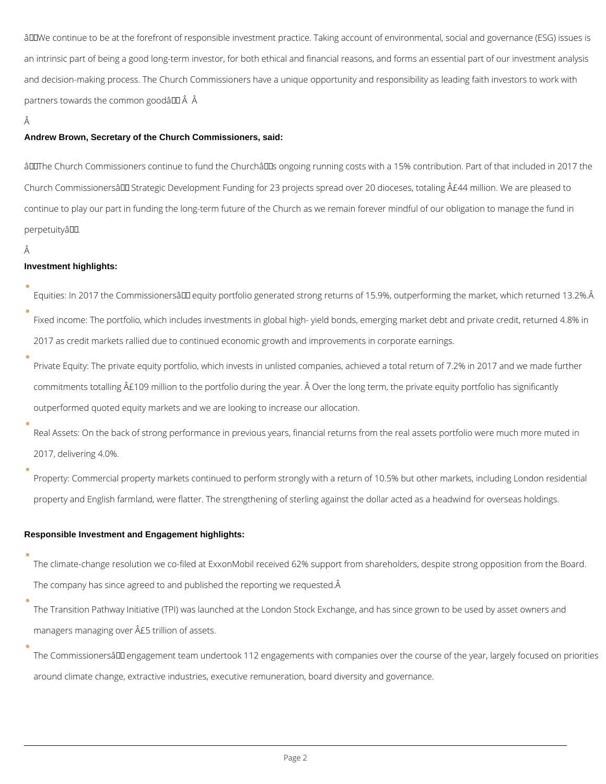âDDWe continue to be at the forefront of responsible investment practice. Taking account of environmental, social and governance (ESG) issues is an intrinsic part of being a good long-term investor, for both ethical and financial reasons, and forms an essential part of our investment analysis and decision-making process. The Church Commissioners have a unique opportunity and responsibility as leading faith investors to work with partners towards the common goodâ  $\Box$   $\hat{A}$   $\hat{A}$ 

Â

#### **Andrew Brown, Secretary of the Church Commissioners, said:**

âDIThe Church Commissioners continue to fund the ChurchâDIs ongoing running costs with a 15% contribution. Part of that included in 2017 the Church Commissionersâ DD Strategic Development Funding for 23 projects spread over 20 dioceses, totaling A£44 million. We are pleased to continue to play our part in funding the long-term future of the Church as we remain forever mindful of our obligation to manage the fund in perpetuityâ.

#### Â

#### **Investment highlights:**

Equities: In 2017 the Commissionersâ D equity portfolio generated strong returns of 15.9%, outperforming the market, which returned 13.2%. Â

The climate-change resolution we co-filed at ExxonMobil received 62% support from shareholders, despite strong opposition from the Board. The company has since agreed to and published the reporting we requested.Â

- Fixed income: The portfolio, which includes investments in global high- yield bonds, emerging market debt and private credit, returned 4.8% in 2017 as credit markets rallied due to continued economic growth and improvements in corporate earnings.
- Private Equity: The private equity portfolio, which invests in unlisted companies, achieved a total return of 7.2% in 2017 and we made further commitments totalling  $\hat{A}E109$  million to the portfolio during the year.  $\hat{A}$  Over the long term, the private equity portfolio has significantly outperformed quoted equity markets and we are looking to increase our allocation.
- Real Assets: On the back of strong performance in previous years, financial returns from the real assets portfolio were much more muted in 2017, delivering 4.0%.
- Property: Commercial property markets continued to perform strongly with a return of 10.5% but other markets, including London residential property and English farmland, were flatter. The strengthening of sterling against the dollar acted as a headwind for overseas holdings.

#### **Responsible Investment and Engagement highlights:**

The Transition Pathway Initiative (TPI) was launched at the London Stock Exchange, and has since grown to be used by asset owners and

managers managing over  $\hat{A}$ £5 trillion of assets.

The Commissionersâ DD engagement team undertook 112 engagements with companies over the course of the year, largely focused on priorities

around climate change, extractive industries, executive remuneration, board diversity and governance.